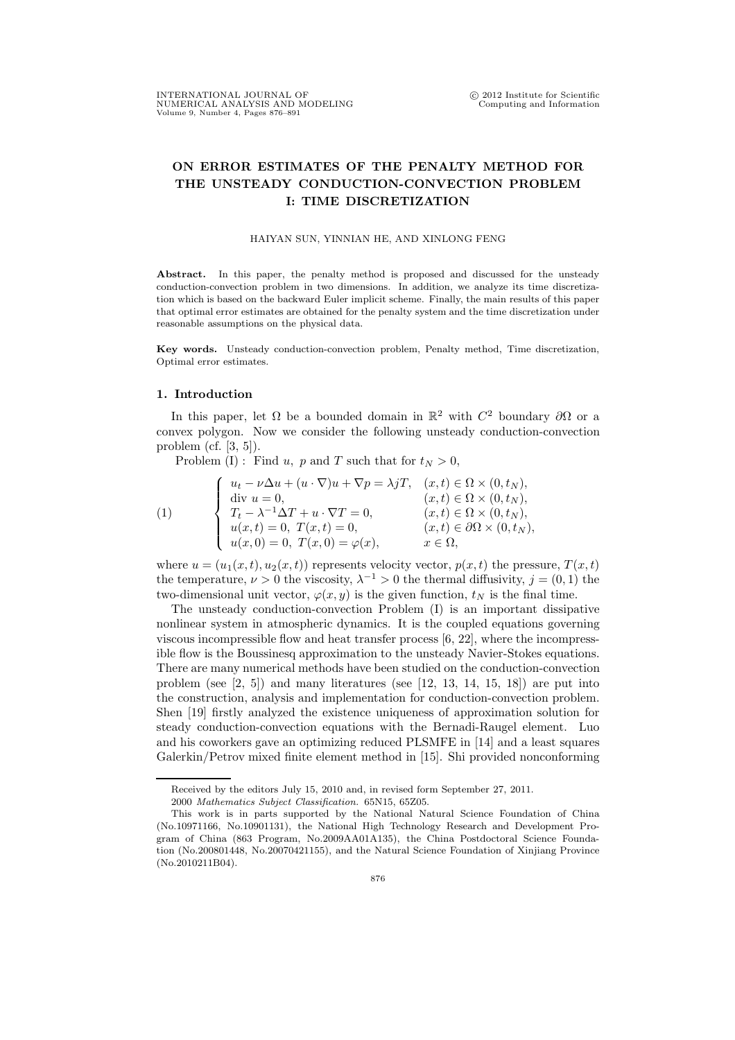## ON ERROR ESTIMATES OF THE PENALTY METHOD FOR THE UNSTEADY CONDUCTION-CONVECTION PROBLEM I: TIME DISCRETIZATION

HAIYAN SUN, YINNIAN HE, AND XINLONG FENG

Abstract. In this paper, the penalty method is proposed and discussed for the unsteady conduction-convection problem in two dimensions. In addition, we analyze its time discretization which is based on the backward Euler implicit scheme. Finally, the main results of this paper that optimal error estimates are obtained for the penalty system and the time discretization under reasonable assumptions on the physical data.

Key words. Unsteady conduction-convection problem, Penalty method, Time discretization, Optimal error estimates.

## 1. Introduction

In this paper, let  $\Omega$  be a bounded domain in  $\mathbb{R}^2$  with  $C^2$  boundary  $\partial\Omega$  or a convex polygon. Now we consider the following unsteady conduction-convection problem (cf. [3, 5]).

Problem (I): Find u, p and T such that for  $t_N > 0$ ,

(1)  
\n
$$
\begin{cases}\nu_t - \nu \Delta u + (u \cdot \nabla)u + \nabla p = \lambda jT, & (x, t) \in \Omega \times (0, t_N), \\
\text{div } u = 0, & (x, t) \in \Omega \times (0, t_N), \\
T_t - \lambda^{-1} \Delta T + u \cdot \nabla T = 0, & (x, t) \in \Omega \times (0, t_N), \\
u(x, t) = 0, & T(x, t) = 0, & (x, t) \in \partial \Omega \times (0, t_N), \\
u(x, 0) = 0, & T(x, 0) = \varphi(x), & x \in \Omega,\n\end{cases}
$$

where  $u = (u_1(x, t), u_2(x, t))$  represents velocity vector,  $p(x, t)$  the pressure,  $T(x, t)$ the temperature,  $\nu > 0$  the viscosity,  $\lambda^{-1} > 0$  the thermal diffusivity,  $j = (0, 1)$  the two-dimensional unit vector,  $\varphi(x, y)$  is the given function,  $t_N$  is the final time.

The unsteady conduction-convection Problem (I) is an important dissipative nonlinear system in atmospheric dynamics. It is the coupled equations governing viscous incompressible flow and heat transfer process [6, 22], where the incompressible flow is the Boussinesq approximation to the unsteady Navier-Stokes equations. There are many numerical methods have been studied on the conduction-convection problem (see  $[2, 5]$ ) and many literatures (see  $[12, 13, 14, 15, 18]$ ) are put into the construction, analysis and implementation for conduction-convection problem. Shen [19] firstly analyzed the existence uniqueness of approximation solution for steady conduction-convection equations with the Bernadi-Raugel element. Luo and his coworkers gave an optimizing reduced PLSMFE in [14] and a least squares Galerkin/Petrov mixed finite element method in [15]. Shi provided nonconforming

Received by the editors July 15, 2010 and, in revised form September 27, 2011.

<sup>2000</sup> Mathematics Subject Classification. 65N15, 65Z05.

This work is in parts supported by the National Natural Science Foundation of China (No.10971166, No.10901131), the National High Technology Research and Development Program of China (863 Program, No.2009AA01A135), the China Postdoctoral Science Foundation (No.200801448, No.20070421155), and the Natural Science Foundation of Xinjiang Province (No.2010211B04).